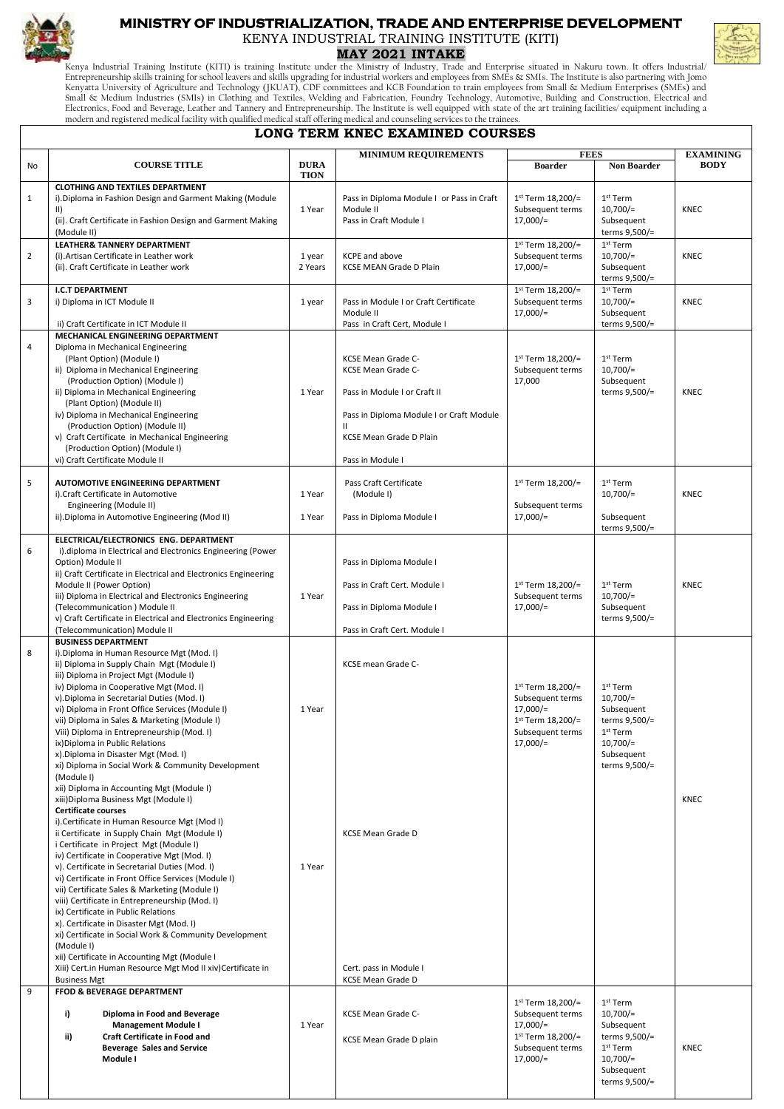

## **MINISTRY OF INDUSTRIALIZATION, TRADE AND ENTERPRISE DEVELOPMENT**

KENYA INDUSTRIAL TRAINING INSTITUTE (KITI)

**MAY 2021 INTAKE**

Kenya Industrial Training Institute (KITI) is training Institute under the Ministry of Industry, Trade and Enterprise situated in Nakuru town. It offers Industrial/<br>Entrepreneurship skills training for school leavers and s Kenyatta University of Agriculture and Technology (JKUAT), CDF committees and KCB Foundation to train employees from Small & Medium Enterprises (SMEs) and<br>Small & Medium Industries (SMIs) in Clothing and Textiles, Welding modern and registered medical facility with qualified medical staff offering medical and counseling services to the trainees.

## **LONG TERM KNEC EXAMINED COURSES**

|                |                                                                                                                                                                                                                                                                                                                                                                                                                                                                                                                                                                                                                                                                                                                                                                                                                                                                                                                                                                                                                                                                                                                                                                                                                                                                                                                                                                                     |                            | <b>MINIMUM REQUIREMENTS</b>                                                                                                                                                         | <b>FEES</b>                                                                                                    |                                                                                                                                | <b>EXAMINING</b> |  |  |  |  |  |  |  |
|----------------|-------------------------------------------------------------------------------------------------------------------------------------------------------------------------------------------------------------------------------------------------------------------------------------------------------------------------------------------------------------------------------------------------------------------------------------------------------------------------------------------------------------------------------------------------------------------------------------------------------------------------------------------------------------------------------------------------------------------------------------------------------------------------------------------------------------------------------------------------------------------------------------------------------------------------------------------------------------------------------------------------------------------------------------------------------------------------------------------------------------------------------------------------------------------------------------------------------------------------------------------------------------------------------------------------------------------------------------------------------------------------------------|----------------------------|-------------------------------------------------------------------------------------------------------------------------------------------------------------------------------------|----------------------------------------------------------------------------------------------------------------|--------------------------------------------------------------------------------------------------------------------------------|------------------|--|--|--|--|--|--|--|
| <b>No</b>      | <b>COURSE TITLE</b>                                                                                                                                                                                                                                                                                                                                                                                                                                                                                                                                                                                                                                                                                                                                                                                                                                                                                                                                                                                                                                                                                                                                                                                                                                                                                                                                                                 | <b>DURA</b><br><b>TION</b> |                                                                                                                                                                                     | <b>Boarder</b>                                                                                                 | <b>Non Boarder</b>                                                                                                             | <b>BODY</b>      |  |  |  |  |  |  |  |
| $\mathbf{1}$   | <b>CLOTHING AND TEXTILES DEPARTMENT</b><br>i). Diploma in Fashion Design and Garment Making (Module<br>$\vert \vert$<br>(ii). Craft Certificate in Fashion Design and Garment Making<br>(Module II)                                                                                                                                                                                                                                                                                                                                                                                                                                                                                                                                                                                                                                                                                                                                                                                                                                                                                                                                                                                                                                                                                                                                                                                 | 1 Year                     | Pass in Diploma Module I or Pass in Craft<br>Module II<br>Pass in Craft Module I                                                                                                    | 1st Term 18,200/=<br>Subsequent terms<br>$17,000/$ =                                                           | 1 <sup>st</sup> Term<br>$10,700/$ =<br>Subsequent<br>terms 9,500/=                                                             | <b>KNEC</b>      |  |  |  |  |  |  |  |
| $\overline{2}$ | <b>LEATHER&amp; TANNERY DEPARTMENT</b><br>(i). Artisan Certificate in Leather work<br>(ii). Craft Certificate in Leather work                                                                                                                                                                                                                                                                                                                                                                                                                                                                                                                                                                                                                                                                                                                                                                                                                                                                                                                                                                                                                                                                                                                                                                                                                                                       | 1 year<br>2 Years          | KCPE and above<br><b>KCSE MEAN Grade D Plain</b>                                                                                                                                    | 1st Term 18,200/=<br>Subsequent terms<br>$17,000/$ =                                                           | $1st$ Term<br>$10,700/$ =<br>Subsequent<br>terms 9,500/=                                                                       | <b>KNEC</b>      |  |  |  |  |  |  |  |
| 3              | <b>I.C.T DEPARTMENT</b><br>i) Diploma in ICT Module II<br>ii) Craft Certificate in ICT Module II                                                                                                                                                                                                                                                                                                                                                                                                                                                                                                                                                                                                                                                                                                                                                                                                                                                                                                                                                                                                                                                                                                                                                                                                                                                                                    | 1 year                     | Pass in Module I or Craft Certificate<br>Module II<br>Pass in Craft Cert, Module I                                                                                                  | 1st Term 18,200/=<br>Subsequent terms<br>$17,000/=$                                                            | $1st$ Term<br>$10.700/-$<br>Subsequent<br>terms 9,500/=                                                                        | <b>KNEC</b>      |  |  |  |  |  |  |  |
| 4              | MECHANICAL ENGINEERING DEPARTMENT<br>Diploma in Mechanical Engineering<br>(Plant Option) (Module I)<br>ii) Diploma in Mechanical Engineering<br>(Production Option) (Module I)<br>ii) Diploma in Mechanical Engineering<br>(Plant Option) (Module II)<br>iv) Diploma in Mechanical Engineering<br>(Production Option) (Module II)<br>v) Craft Certificate in Mechanical Engineering<br>(Production Option) (Module I)<br>vi) Craft Certificate Module II                                                                                                                                                                                                                                                                                                                                                                                                                                                                                                                                                                                                                                                                                                                                                                                                                                                                                                                            | 1 Year                     | KCSE Mean Grade C-<br>KCSE Mean Grade C-<br>Pass in Module I or Craft II<br>Pass in Diploma Module I or Craft Module<br>$\mathbf{H}$<br>KCSE Mean Grade D Plain<br>Pass in Module I | 1st Term 18,200/=<br>Subsequent terms<br>17,000                                                                | 1st Term<br>$10,700/$ =<br>Subsequent<br>terms 9,500/=                                                                         | <b>KNEC</b>      |  |  |  |  |  |  |  |
| 5              | AUTOMOTIVE ENGINEERING DEPARTMENT<br>i). Craft Certificate in Automotive<br>Engineering (Module II)<br>ii).Diploma in Automotive Engineering (Mod II)                                                                                                                                                                                                                                                                                                                                                                                                                                                                                                                                                                                                                                                                                                                                                                                                                                                                                                                                                                                                                                                                                                                                                                                                                               | 1 Year<br>1 Year           | Pass Craft Certificate<br>(Module I)<br>Pass in Diploma Module I                                                                                                                    | 1st Term 18,200/=<br>Subsequent terms<br>$17,000/=$                                                            | 1 <sup>st</sup> Term<br>$10,700/$ =<br>Subsequent<br>terms 9,500/=                                                             | <b>KNEC</b>      |  |  |  |  |  |  |  |
| 6              | ELECTRICAL/ELECTRONICS ENG. DEPARTMENT<br>i).diploma in Electrical and Electronics Engineering (Power<br>Option) Module II<br>ii) Craft Certificate in Electrical and Electronics Engineering<br>Module II (Power Option)<br>iii) Diploma in Electrical and Electronics Engineering<br>(Telecommunication) Module II<br>v) Craft Certificate in Electrical and Electronics Engineering<br>(Telecommunication) Module II                                                                                                                                                                                                                                                                                                                                                                                                                                                                                                                                                                                                                                                                                                                                                                                                                                                                                                                                                             | 1 Year                     | Pass in Diploma Module I<br>Pass in Craft Cert. Module I<br>Pass in Diploma Module I<br>Pass in Craft Cert. Module I                                                                | 1st Term 18,200/=<br>Subsequent terms<br>$17,000/=$                                                            | 1 <sup>st</sup> Term<br>$10,700/$ =<br>Subsequent<br>terms 9,500/=                                                             | <b>KNEC</b>      |  |  |  |  |  |  |  |
| 8              | <b>BUSINESS DEPARTMENT</b><br>i). Diploma in Human Resource Mgt (Mod. I)<br>ii) Diploma in Supply Chain Mgt (Module I)<br>iii) Diploma in Project Mgt (Module I)<br>iv) Diploma in Cooperative Mgt (Mod. I)<br>v). Diploma in Secretarial Duties (Mod. I)<br>vi) Diploma in Front Office Services (Module I)<br>vii) Diploma in Sales & Marketing (Module I)<br>Viii) Diploma in Entrepreneurship (Mod. I)<br>ix)Diploma in Public Relations<br>x).Diploma in Disaster Mgt (Mod. I)<br>xi) Diploma in Social Work & Community Development<br>(Module I)<br>xii) Diploma in Accounting Mgt (Module I)<br>xiii)Diploma Business Mgt (Module I)<br><b>Certificate courses</b><br>i). Certificate in Human Resource Mgt (Mod I)<br>ii Certificate in Supply Chain Mgt (Module I)<br>i Certificate in Project Mgt (Module I)<br>iv) Certificate in Cooperative Mgt (Mod. I)<br>v). Certificate in Secretarial Duties (Mod. I)<br>vi) Certificate in Front Office Services (Module I)<br>vii) Certificate Sales & Marketing (Module I)<br>viii) Certificate in Entrepreneurship (Mod. I)<br>ix) Certificate in Public Relations<br>x). Certificate in Disaster Mgt (Mod. I)<br>xi) Certificate in Social Work & Community Development<br>(Module I)<br>xii) Certificate in Accounting Mgt (Module I<br>Xiii) Cert.in Human Resource Mgt Mod II xiv) Certificate in<br><b>Business Mgt</b> | 1 Year<br>1 Year           | KCSE mean Grade C-<br><b>KCSE Mean Grade D</b><br>Cert. pass in Module I<br>KCSE Mean Grade D                                                                                       | 1st Term 18,200/=<br>Subsequent terms<br>$17,000/$ =<br>1st Term 18,200/=<br>Subsequent terms<br>$17,000/$ =   | 1 <sup>st</sup> Term<br>$10,700/$ =<br>Subsequent<br>terms 9,500/=<br>$1st$ Term<br>$10,700/$ =<br>Subsequent<br>terms 9,500/= | <b>KNEC</b>      |  |  |  |  |  |  |  |
| 9              | <b>FFOD &amp; BEVERAGE DEPARTMENT</b><br>i)<br>Diploma in Food and Beverage<br><b>Management Module I</b><br>ii)<br>Craft Certificate in Food and<br><b>Beverage Sales and Service</b><br>Module I                                                                                                                                                                                                                                                                                                                                                                                                                                                                                                                                                                                                                                                                                                                                                                                                                                                                                                                                                                                                                                                                                                                                                                                  | 1 Year                     | KCSE Mean Grade C-<br>KCSE Mean Grade D plain                                                                                                                                       | $1st$ Term 18,200/=<br>Subsequent terms<br>$17,000/$ =<br>1st Term 18,200/=<br>Subsequent terms<br>$17,000/$ = | 1st Term<br>$10,700/$ =<br>Subsequent<br>terms 9,500/=<br>$1st$ Term<br>$10,700/$ =<br>Subsequent<br>terms 9,500/=             | <b>KNEC</b>      |  |  |  |  |  |  |  |